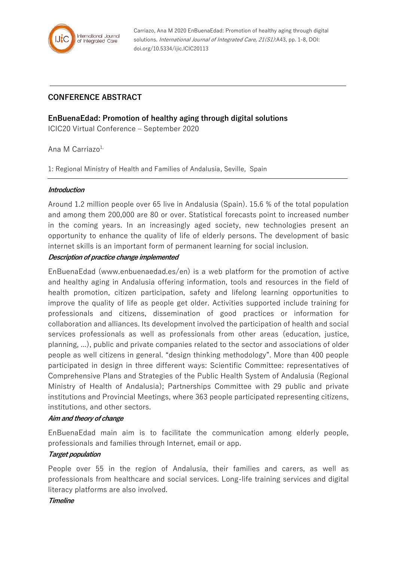

Carriazo, Ana M 2020 EnBuenaEdad: Promotion of healthy aging through digital solutions. International Journal of Integrated Care, 21(S1):A43, pp. 1-8, DOI: doi.org/10.5334/ijic.ICIC20113

# **CONFERENCE ABSTRACT**

**EnBuenaEdad: Promotion of healthy aging through digital solutions**

ICIC20 Virtual Conference – September 2020

Ana M Carriazo $1$ ,

1: Regional Ministry of Health and Families of Andalusia, Seville, Spain

### **Introduction**

Around 1.2 million people over 65 live in Andalusia (Spain). 15.6 % of the total population and among them 200,000 are 80 or over. Statistical forecasts point to increased number in the coming years. In an increasingly aged society, new technologies present an opportunity to enhance the quality of life of elderly persons. The development of basic internet skills is an important form of permanent learning for social inclusion.

### **Description of practice change implemented**

EnBuenaEdad (www.enbuenaedad.es/en) is a web platform for the promotion of active and healthy aging in Andalusia offering information, tools and resources in the field of health promotion, citizen participation, safety and lifelong learning opportunities to improve the quality of life as people get older. Activities supported include training for professionals and citizens, dissemination of good practices or information for collaboration and alliances. Its development involved the participation of health and social services professionals as well as professionals from other areas (education, justice, planning, ...), public and private companies related to the sector and associations of older people as well citizens in general. "design thinking methodology". More than 400 people participated in design in three different ways: Scientific Committee: representatives of Comprehensive Plans and Strategies of the Public Health System of Andalusia (Regional Ministry of Health of Andalusia); Partnerships Committee with 29 public and private institutions and Provincial Meetings, where 363 people participated representing citizens, institutions, and other sectors.

## **Aim and theory of change**

EnBuenaEdad main aim is to facilitate the communication among elderly people, professionals and families through Internet, email or app.

### **Target population**

People over 55 in the region of Andalusia, their families and carers, as well as professionals from healthcare and social services. Long-life training services and digital literacy platforms are also involved.

### **Timeline**